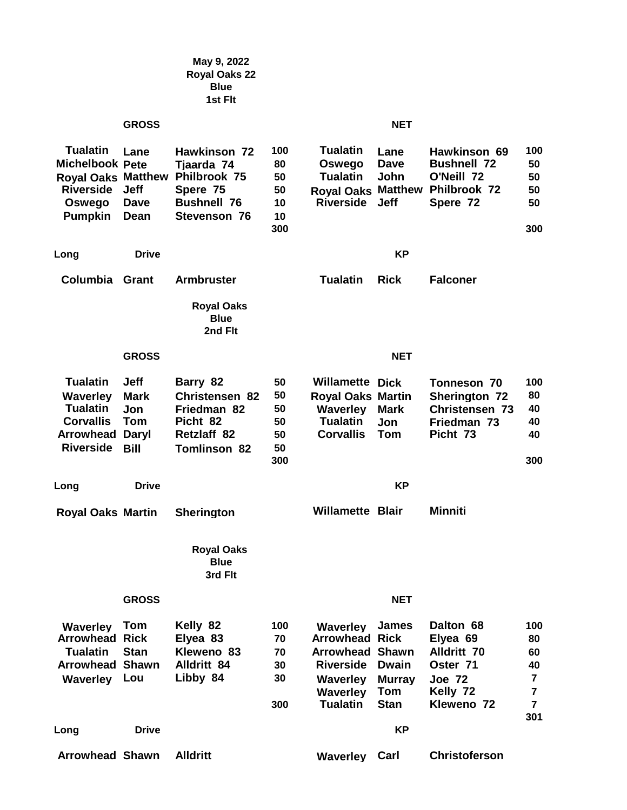|                                                                                                            |                                                                         | May 9, 2022<br><b>Royal Oaks 22</b><br><b>Blue</b><br>1st Fit                                                   |                                          |                                                                                                                            |                                                                     |                                                                                                    |                                                                                    |  |  |  |
|------------------------------------------------------------------------------------------------------------|-------------------------------------------------------------------------|-----------------------------------------------------------------------------------------------------------------|------------------------------------------|----------------------------------------------------------------------------------------------------------------------------|---------------------------------------------------------------------|----------------------------------------------------------------------------------------------------|------------------------------------------------------------------------------------|--|--|--|
|                                                                                                            | <b>GROSS</b>                                                            |                                                                                                                 | <b>NET</b>                               |                                                                                                                            |                                                                     |                                                                                                    |                                                                                    |  |  |  |
| <b>Tualatin</b><br><b>Michelbook Pete</b><br><b>Riverside</b><br>Oswego<br><b>Pumpkin</b>                  | Lane<br><b>Jeff</b><br>Dave<br>Dean                                     | Hawkinson 72<br>Tjaarda 74<br>Royal Oaks Matthew Philbrook 75<br>Spere 75<br><b>Bushnell 76</b><br>Stevenson 76 | 100<br>80<br>50<br>50<br>10<br>10<br>300 | <b>Tualatin</b><br>Oswego<br><b>Tualatin</b><br><b>Royal Oaks Matthew</b><br><b>Riverside</b>                              | Lane<br>Dave<br>John<br><b>Jeff</b>                                 | Hawkinson 69<br><b>Bushnell 72</b><br>O'Neill 72<br>Philbrook 72<br>Spere 72                       | 100<br>50<br>50<br>50<br>50<br>300                                                 |  |  |  |
| Long                                                                                                       | <b>Drive</b>                                                            |                                                                                                                 |                                          |                                                                                                                            |                                                                     |                                                                                                    |                                                                                    |  |  |  |
| Columbia                                                                                                   | Grant                                                                   | <b>Armbruster</b>                                                                                               |                                          | <b>Tualatin</b>                                                                                                            | <b>Rick</b>                                                         | <b>Falconer</b>                                                                                    |                                                                                    |  |  |  |
|                                                                                                            |                                                                         | <b>Royal Oaks</b><br><b>Blue</b><br>2nd Flt                                                                     |                                          |                                                                                                                            |                                                                     |                                                                                                    |                                                                                    |  |  |  |
|                                                                                                            | <b>GROSS</b>                                                            |                                                                                                                 |                                          |                                                                                                                            | <b>NET</b>                                                          |                                                                                                    |                                                                                    |  |  |  |
| <b>Tualatin</b><br><b>Waverley</b><br><b>Tualatin</b><br><b>Corvallis</b><br>Arrowhead<br><b>Riverside</b> | <b>Jeff</b><br><b>Mark</b><br>Jon<br>Tom<br><b>Daryl</b><br><b>Bill</b> | Barry 82<br><b>Christensen 82</b><br>Friedman 82<br>Picht 82<br>Retzlaff 82<br><b>Tomlinson 82</b>              | 50<br>50<br>50<br>50<br>50<br>50<br>300  | <b>Willamette Dick</b><br><b>Royal Oaks Martin</b><br><b>Waverley</b><br><b>Tualatin</b><br><b>Corvallis</b>               | <b>Mark</b><br>Jon<br><b>Tom</b>                                    | Tonneson 70<br><b>Sherington 72</b><br><b>Christensen 73</b><br>Friedman 73<br>Picht 73            | 100<br>80<br>40<br>40<br>40<br>300                                                 |  |  |  |
| Long                                                                                                       | <b>Drive</b>                                                            |                                                                                                                 |                                          |                                                                                                                            | <b>KP</b>                                                           |                                                                                                    |                                                                                    |  |  |  |
| <b>Royal Oaks Martin</b>                                                                                   |                                                                         | Sherington                                                                                                      |                                          | <b>Willamette Blair</b>                                                                                                    |                                                                     | Minniti                                                                                            |                                                                                    |  |  |  |
|                                                                                                            |                                                                         | <b>Royal Oaks</b><br><b>Blue</b><br>3rd Flt                                                                     |                                          |                                                                                                                            |                                                                     |                                                                                                    |                                                                                    |  |  |  |
|                                                                                                            | <b>GROSS</b>                                                            |                                                                                                                 |                                          |                                                                                                                            | <b>NET</b>                                                          |                                                                                                    |                                                                                    |  |  |  |
| Waverley<br><b>Arrowhead Rick</b><br><b>Tualatin</b><br><b>Arrowhead Shawn</b><br><b>Waverley</b>          | <b>Tom</b><br><b>Stan</b><br>Lou                                        | Kelly 82<br>Elyea 83<br>Kleweno 83<br><b>Alldritt 84</b><br>Libby 84                                            | 100<br>70<br>70<br>30<br>30<br>300       | Waverley<br><b>Arrowhead Rick</b><br><b>Arrowhead Shawn</b><br><b>Riverside</b><br>Waverley<br>Waverley<br><b>Tualatin</b> | <b>James</b><br><b>Dwain</b><br><b>Murray</b><br>Tom<br><b>Stan</b> | Dalton 68<br>Elyea 69<br><b>Alldritt 70</b><br>Oster 71<br><b>Joe 72</b><br>Kelly 72<br>Kleweno 72 | 100<br>80<br>60<br>40<br>$\overline{7}$<br>$\overline{7}$<br>$\overline{7}$<br>301 |  |  |  |
| Long                                                                                                       | <b>KP</b><br><b>Drive</b>                                               |                                                                                                                 |                                          |                                                                                                                            |                                                                     |                                                                                                    |                                                                                    |  |  |  |
| <b>Arrowhead Shawn</b>                                                                                     |                                                                         | <b>Alldritt</b>                                                                                                 |                                          | <b>Waverley Carl</b>                                                                                                       |                                                                     | <b>Christoferson</b>                                                                               |                                                                                    |  |  |  |